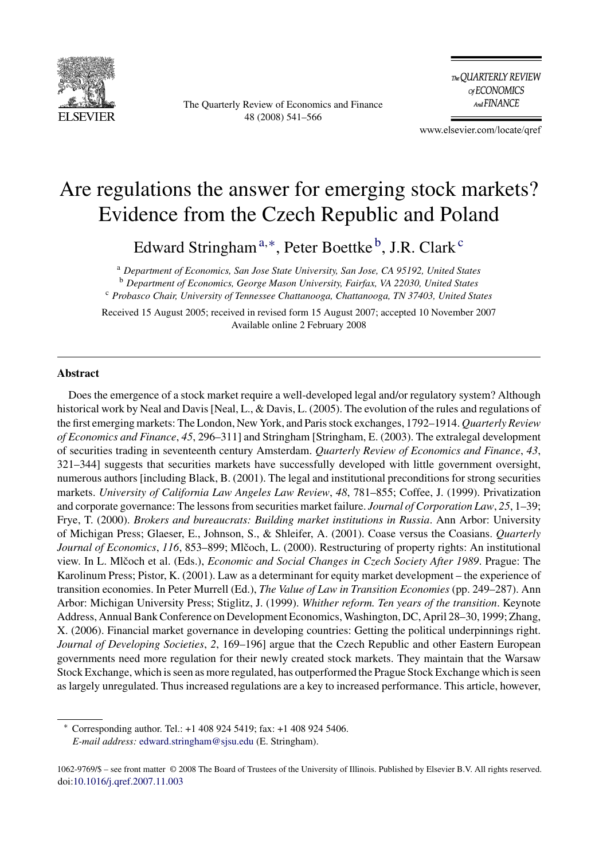

The Quarterly Review of Economics and Finance 48 (2008) 541–566

The QUARTERLY REVIEW of ECONOMICS And FINANCE

www.elsevier.com/locate/qref

## Are regulations the answer for emerging stock markets? Evidence from the Czech Republic and Poland

Edward Stringham<sup>a,∗</sup>, Peter Boettke<sup>b</sup>, J.R. Clark<sup>c</sup>

<sup>a</sup> *Department of Economics, San Jose State University, San Jose, CA 95192, United States* <sup>b</sup> *Department of Economics, George Mason University, Fairfax, VA 22030, United States* <sup>c</sup> *Probasco Chair, University of Tennessee Chattanooga, Chattanooga, TN 37403, United States*

Received 15 August 2005; received in revised form 15 August 2007; accepted 10 November 2007 Available online 2 February 2008

## **Abstract**

Does the emergence of a stock market require a well-developed legal and/or regulatory system? Although historical work by Neal and Davis [Neal, L., & Davis, L. (2005). The evolution of the rules and regulations of the first emerging markets: The London, New York, and Paris stock exchanges, 1792–1914. *Quarterly Review of Economics and Finance*, *45*, 296–311] and Stringham [Stringham, E. (2003). The extralegal development of securities trading in seventeenth century Amsterdam. *Quarterly Review of Economics and Finance*, *43*, 321–344] suggests that securities markets have successfully developed with little government oversight, numerous authors [including Black, B. (2001). The legal and institutional preconditions for strong securities markets. *University of California Law Angeles Law Review*, *48*, 781–855; Coffee, J. (1999). Privatization and corporate governance: The lessons from securities market failure. *Journal of Corporation Law*, *25*, 1–39; Frye, T. (2000). *Brokers and bureaucrats: Building market institutions in Russia*. Ann Arbor: University of Michigan Press; Glaeser, E., Johnson, S., & Shleifer, A. (2001). Coase versus the Coasians. *Quarterly Journal of Economics*, *116*, 853–899; Mlčoch, L. (2000). Restructuring of property rights: An institutional view. In L. Mlčoch et al. (Eds.), *Economic and Social Changes in Czech Society After 1989*. Prague: The Karolinum Press; Pistor, K. (2001). Law as a determinant for equity market development – the experience of transition economies. In Peter Murrell (Ed.), *The Value of Law in Transition Economies* (pp. 249–287). Ann Arbor: Michigan University Press; Stiglitz, J. (1999). *Whither reform. Ten years of the transition*. Keynote Address, Annual Bank Conference on Development Economics, Washington, DC, April 28–30, 1999; Zhang, X. (2006). Financial market governance in developing countries: Getting the political underpinnings right. *Journal of Developing Societies*, *2*, 169–196] argue that the Czech Republic and other Eastern European governments need more regulation for their newly created stock markets. They maintain that the Warsaw Stock Exchange, which is seen as more regulated, has outperformed the Prague Stock Exchange which is seen as largely unregulated. Thus increased regulations are a key to increased performance. This article, however,

∗ Corresponding author. Tel.: +1 408 924 5419; fax: +1 408 924 5406. *E-mail address:* [edward.stringham@sjsu.edu](mailto:edward.stringham@sjsu.edu) (E. Stringham).

<sup>1062-9769/\$ –</sup> see front matter © 2008 The Board of Trustees of the University of Illinois. Published by Elsevier B.V. All rights reserved. doi[:10.1016/j.qref.2007.11.003](dx.doi.org/10.1016/j.qref.2007.11.003)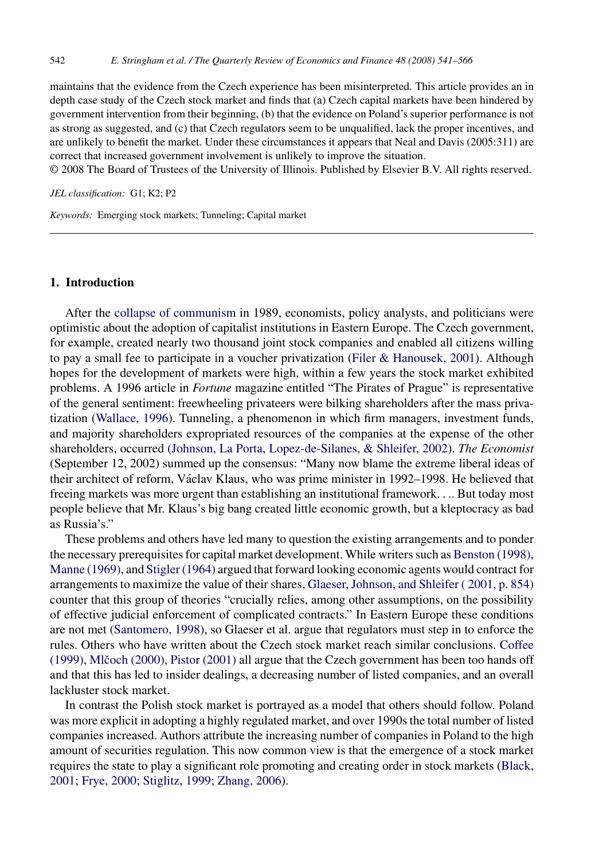maintains that the evidence from the Czech experience has been misinterpreted. This article provides an in depth case study of the Czech stock market and finds that (a) Czech capital markets have been hindered by government intervention from their beginning, (b) that the evidence on Poland's superior performance is not as strong as suggested, and (c) that Czech regulators seem to be unqualified, lack the proper incentives, and are unlikely to benefit the market. Under these circumstances it appears that Neal and Davis (2005:311) are correct that increased government involvement is unlikely to improve the situation.

© 2008 The Board of Trustees of the University of Illinois. Published by Elsevier B.V. All rights reserved.

*JEL classification:* G1; K2; P2

*Keywords:* Emerging stock markets; Tunneling; Capital market

## **1. Introduction**

After the [collapse of communism](#page--1-0) in 1989, economists, policy analysts, and politicians were optimistic about the adoption of capitalist institutions in Eastern Europe. The Czech government, for example, created nearly two thousand joint stock companies and enabled all citizens willing to pay a small fee to participate in a voucher privatization [\(Filer & Hanousek, 2001\).](#page--1-0) Although hopes for the development of markets were high, within a few years the stock market exhibited problems. A 1996 article in *Fortune* magazine entitled "The Pirates of Prague" is representative of the general sentiment: freewheeling privateers were bilking shareholders after the mass privatization ([Wallace, 1996\).](#page--1-0) Tunneling, a phenomenon in which firm managers, investment funds, and majority shareholders expropriated resources of the companies at the expense of the other shareholders, occurred ([Johnson, La Porta, Lopez-de-Silanes, & Shleifer, 2002\).](#page--1-0) *The Economist* (September 12, 2002) summed up the consensus: "Many now blame the extreme liberal ideas of their architect of reform, Václav Klaus, who was prime minister in 1992–1998. He believed that freeing markets was more urgent than establishing an institutional framework.... But today most people believe that Mr. Klaus's big bang created little economic growth, but a kleptocracy as bad as Russia's."

These problems and others have led many to question the existing arrangements and to ponder the necessary prerequisites for capital market development. While writers such as [Benston \(1998\),](#page--1-0) [Manne \(1969\), a](#page--1-0)nd [Stigler \(1964\)](#page--1-0) argued that forward looking economic agents would contract for arrangements to maximize the value of their shares, [Glaeser, Johnson, and Shleifer \( 2001, p. 854\)](#page--1-0) counter that this group of theories "crucially relies, among other assumptions, on the possibility of effective judicial enforcement of complicated contracts." In Eastern Europe these conditions are not met [\(Santomero, 1998\),](#page--1-0) so Glaeser et al. argue that regulators must step in to enforce the rules. Others who have written about the Czech stock market reach similar conclusions. [Coffee](#page--1-0) [\(1999\),](#page--1-0) Mlčoch (2000), [Pistor \(2001\)](#page--1-0) all argue that the Czech government has been too hands off and that this has led to insider dealings, a decreasing number of listed companies, and an overall lackluster stock market.

In contrast the Polish stock market is portrayed as a model that others should follow. Poland was more explicit in adopting a highly regulated market, and over 1990s the total number of listed companies increased. Authors attribute the increasing number of companies in Poland to the high amount of securities regulation. This now common view is that the emergence of a stock market requires the state to play a significant role promoting and creating order in stock markets [\(Black,](#page--1-0) [2001; Frye, 2000; Stiglitz, 1999; Zhang, 2006\).](#page--1-0)